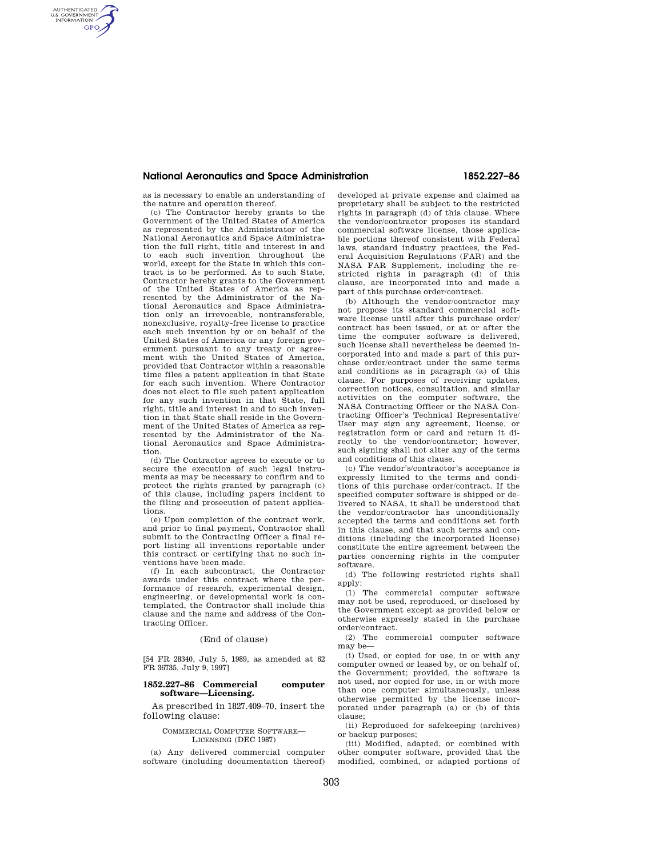## **National Aeronautics and Space Administration 1852.227–86**

as is necessary to enable an understanding of the nature and operation thereof.

AUTHENTICATED<br>U.S. GOVERNMENT<br>INFORMATION **GPO** 

> (c) The Contractor hereby grants to the Government of the United States of America as represented by the Administrator of the National Aeronautics and Space Administration the full right, title and interest in and to each such invention throughout the world, except for the State in which this contract is to be performed. As to such State, Contractor hereby grants to the Government of the United States of America as represented by the Administrator of the National Aeronautics and Space Administration only an irrevocable, nontransferable, nonexclusive, royalty-free license to practice each such invention by or on behalf of the United States of America or any foreign government pursuant to any treaty or agreement with the United States of America, provided that Contractor within a reasonable time files a patent application in that State for each such invention. Where Contractor does not elect to file such patent application for any such invention in that State, full right, title and interest in and to such invention in that State shall reside in the Government of the United States of America as represented by the Administrator of the National Aeronautics and Space Administration.

> (d) The Contractor agrees to execute or to secure the execution of such legal instruments as may be necessary to confirm and to protect the rights granted by paragraph (c) of this clause, including papers incident to the filing and prosecution of patent applications.

> (e) Upon completion of the contract work, and prior to final payment, Contractor shall submit to the Contracting Officer a final report listing all inventions reportable under this contract or certifying that no such inventions have been made.

> (f) In each subcontract, the Contractor awards under this contract where the performance of research, experimental design, engineering, or developmental work is contemplated, the Contractor shall include this clause and the name and address of the Contracting Officer.

#### (End of clause)

[54 FR 28340, July 5, 1989, as amended at 62 FR 36735, July 9, 1997]

## **1852.227–86 Commercial computer software—Licensing.**

As prescribed in 1827.409–70, insert the following clause:

## COMMERCIAL COMPUTER SOFTWARE— LICENSING (DEC 1987)

(a) Any delivered commercial computer software (including documentation thereof) developed at private expense and claimed as proprietary shall be subject to the restricted rights in paragraph (d) of this clause. Where the vendor/contractor proposes its standard commercial software license, those applicable portions thereof consistent with Federal laws, standard industry practices, the Federal Acquisition Regulations (FAR) and the NASA FAR Supplement, including the restricted rights in paragraph (d) of this clause, are incorporated into and made a part of this purchase order/contract.

(b) Although the vendor/contractor may not propose its standard commercial software license until after this purchase order/ contract has been issued, or at or after the time the computer software is delivered, such license shall nevertheless be deemed incorporated into and made a part of this purchase order/contract under the same terms and conditions as in paragraph (a) of this clause. For purposes of receiving updates, correction notices, consultation, and similar activities on the computer software, the NASA Contracting Officer or the NASA Contracting Officer's Technical Representative/ User may sign any agreement, license, or registration form or card and return it directly to the vendor/contractor; however, such signing shall not alter any of the terms and conditions of this clause.

(c) The vendor's/contractor's acceptance is expressly limited to the terms and conditions of this purchase order/contract. If the specified computer software is shipped or delivered to NASA, it shall be understood that the vendor/contractor has unconditionally accepted the terms and conditions set forth in this clause, and that such terms and conditions (including the incorporated license) constitute the entire agreement between the parties concerning rights in the computer software.

(d) The following restricted rights shall apply:

(1) The commercial computer software may not be used, reproduced, or disclosed by the Government except as provided below or otherwise expressly stated in the purchase order/contract.

(2) The commercial computer software may be—

(i) Used, or copied for use, in or with any computer owned or leased by, or on behalf of, the Government; provided, the software is not used, nor copied for use, in or with more than one computer simultaneously, unless otherwise permitted by the license incorporated under paragraph (a) or (b) of this clause;

(ii) Reproduced for safekeeping (archives) or backup purposes;

(iii) Modified, adapted, or combined with other computer software, provided that the modified, combined, or adapted portions of